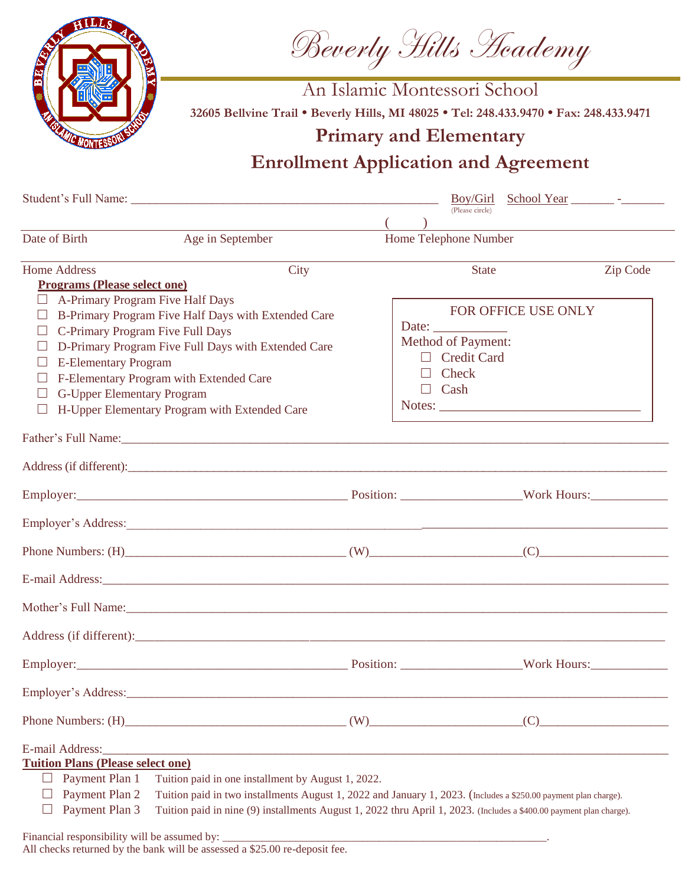Beverly Hills Academy



An Islamic Montessori School **32605 Bellvine Trail • Beverly Hills, MI 48025 • Tel: 248.433.9470 • Fax: 248.433.9471**

## **Primary and Elementary**

## **Enrollment Application and Agreement**

|                                                                                                                                                                                                                                                                                                                                                                                             | (Please circle)                                                                                                                                                                                                                        |          |
|---------------------------------------------------------------------------------------------------------------------------------------------------------------------------------------------------------------------------------------------------------------------------------------------------------------------------------------------------------------------------------------------|----------------------------------------------------------------------------------------------------------------------------------------------------------------------------------------------------------------------------------------|----------|
| Date of Birth<br>Age in September                                                                                                                                                                                                                                                                                                                                                           | <u> 1989 - Andrea Andrew Maria (h. 1989).</u><br>Home Telephone Number                                                                                                                                                                 |          |
| City<br>Home Address<br><b>Programs (Please select one)</b>                                                                                                                                                                                                                                                                                                                                 | State                                                                                                                                                                                                                                  | Zip Code |
| A-Primary Program Five Half Days<br>B-Primary Program Five Half Days with Extended Care<br>C-Primary Program Five Full Days<br>D-Primary Program Five Full Days with Extended Care<br><b>E-Elementary Program</b><br>F-Elementary Program with Extended Care<br><b>G-Upper Elementary Program</b><br>H-Upper Elementary Program with Extended Care                                          | FOR OFFICE USE ONLY<br>Date: $\frac{1}{\sqrt{1-\frac{1}{2}}\cdot\frac{1}{2}}$<br><b>Method of Payment:</b><br>$\Box$ Credit Card<br>Check<br>$\Box$<br>$\Box$ Cash<br>Notes:                                                           |          |
| Father's Full Name: 1988 and 2008 and 2008 and 2008 and 2008 and 2008 and 2008 and 2008 and 2008 and 2008 and 2008 and 2008 and 2008 and 2008 and 2008 and 2008 and 2008 and 2008 and 2008 and 2008 and 2008 and 2008 and 2008                                                                                                                                                              |                                                                                                                                                                                                                                        |          |
|                                                                                                                                                                                                                                                                                                                                                                                             |                                                                                                                                                                                                                                        |          |
|                                                                                                                                                                                                                                                                                                                                                                                             |                                                                                                                                                                                                                                        |          |
| Employer's Address: New York Contains a strategy of the contact of the contact of the contact of the contact of the contact of the contact of the contact of the contact of the contact of the contact of the contact of the c                                                                                                                                                              |                                                                                                                                                                                                                                        |          |
| Phone Numbers: $(H)$ (W) (W) (C)                                                                                                                                                                                                                                                                                                                                                            |                                                                                                                                                                                                                                        |          |
|                                                                                                                                                                                                                                                                                                                                                                                             |                                                                                                                                                                                                                                        |          |
| Mother's Full Name: 1988. The Second State of the Second State of the Second State of the Second State of the Second State of the Second State of the Second State of the Second State of the Second State of the Second State                                                                                                                                                              |                                                                                                                                                                                                                                        |          |
|                                                                                                                                                                                                                                                                                                                                                                                             |                                                                                                                                                                                                                                        |          |
|                                                                                                                                                                                                                                                                                                                                                                                             |                                                                                                                                                                                                                                        |          |
| Employer's Address:                                                                                                                                                                                                                                                                                                                                                                         |                                                                                                                                                                                                                                        |          |
| Phone Numbers: $(H)$ (W) (W) (C)                                                                                                                                                                                                                                                                                                                                                            |                                                                                                                                                                                                                                        |          |
| E-mail Address: Note and Address: Note and Address and Address and Address and Address and Address and Address and Address and Address and Address and Address and Address and Address and Address and Address and Address and<br><b>Tuition Plans (Please select one)</b><br>Payment Plan 1<br>Tuition paid in one installment by August 1, 2022.<br>⊔<br>Payment Plan 2<br>Payment Plan 3 | Tuition paid in two installments August 1, 2022 and January 1, 2023. (Includes a \$250.00 payment plan charge).<br>Tuition paid in nine (9) installments August 1, 2022 thru April 1, 2023. (Includes a \$400.00 payment plan charge). |          |

All checks returned by the bank will be assessed a \$25.00 re-deposit fee.

Financial responsibility will be assumed by: